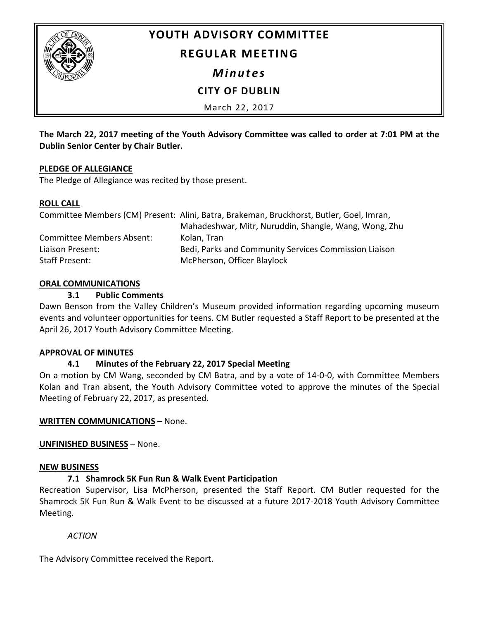

# **YOUTH ADVISORY COMMITTEE**

# **REGULAR MEETING**

*Minutes*

# **CITY OF DUBLIN**

March 22, 2017

**The March 22, 2017 meeting of the Youth Advisory Committee was called to order at 7:01 PM at the Dublin Senior Center by Chair Butler.**

#### **PLEDGE OF ALLEGIANCE**

The Pledge of Allegiance was recited by those present.

#### **ROLL CALL**

|                           | Committee Members (CM) Present: Alini, Batra, Brakeman, Bruckhorst, Butler, Goel, Imran, |
|---------------------------|------------------------------------------------------------------------------------------|
|                           | Mahadeshwar, Mitr, Nuruddin, Shangle, Wang, Wong, Zhu                                    |
| Committee Members Absent: | Kolan, Tran                                                                              |
| Liaison Present:          | Bedi, Parks and Community Services Commission Liaison                                    |
| Staff Present:            | McPherson, Officer Blaylock                                                              |

## **ORAL COMMUNICATIONS**

#### **3.1 Public Comments**

Dawn Benson from the Valley Children's Museum provided information regarding upcoming museum events and volunteer opportunities for teens. CM Butler requested a Staff Report to be presented at the April 26, 2017 Youth Advisory Committee Meeting.

## **APPROVAL OF MINUTES**

## **4.1 Minutes of the February 22, 2017 Special Meeting**

On a motion by CM Wang, seconded by CM Batra, and by a vote of 14-0-0, with Committee Members Kolan and Tran absent, the Youth Advisory Committee voted to approve the minutes of the Special Meeting of February 22, 2017, as presented.

## **WRITTEN COMMUNICATIONS** – None.

**UNFINISHED BUSINESS** – None.

## **NEW BUSINESS**

## **7.1 Shamrock 5K Fun Run & Walk Event Participation**

Recreation Supervisor, Lisa McPherson, presented the Staff Report. CM Butler requested for the Shamrock 5K Fun Run & Walk Event to be discussed at a future 2017-2018 Youth Advisory Committee Meeting.

*ACTION*

The Advisory Committee received the Report.